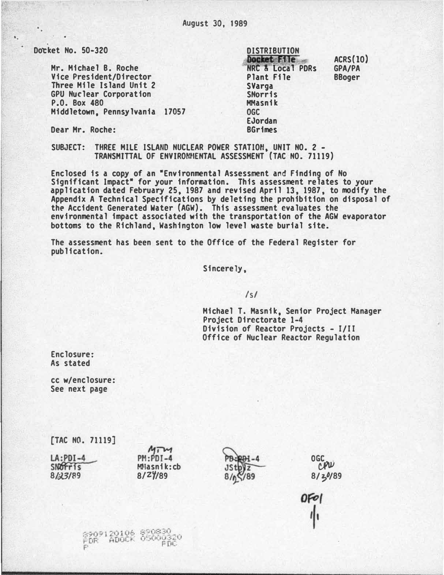Docket No. 50-320

.

. .

Hr. Michael B. Roche Vice President/Director Three Mile Island Unit 2 GPU Nuclear Corporation P.O. Box 480 Middletown, Pennsylvania 17057 Docket File **DISTRIBUTION** NRC &-local PDRs Plant File **SVarga** SNorris MMasnik OGC EJordan BGrimes ACRS(lO) GPA/PA BBoger

Dear Hr. Roche:

SUBJECT: THREE MILE ISLAND NUCLEAR POWER STATION, UNIT NO. 2 -TRANSMITTAL OF ENVIRONMENTAL ASSESSMENT (TAC NO. 71119)

Enclosed is a copy of an •Environmental Assessment and Finding of No Significant Impact" for your information. This assessment relates to your application dated February 25, 1987 and revised April 13, 1987, to modify the Appendix A Technical Specifications by deleting the prohibition on disposal of th� Accident Generated Water (AGW). This assessment evaluates the environmental impact associated with the transportation of the AGW evaporator bottoms to the Richland, Washington low level waste burial site.

The assessment has been sent to the Office of the Federal Register for publication.

Sincerely,

 $\sqrt{s}$ 

Michael T. Hasnik, Senior Project Manager Project Directorate 1-4 Division of Reactor Projects - 1/11 Office of Nuclear Reactor Regulation

Enclosure: As stated

cc w/enclosure: See next page

[TAC NO. 71119]  $MTM$ LA:PDI-4<br>SNOFFIS PH:PDI-4 **OGCOU** MNasnik:cb 8/23/89 8/<sup>2</sup>/89  $8/39/89$ OF01 11

8202120106 820830<br>PDR ADOCK 05000320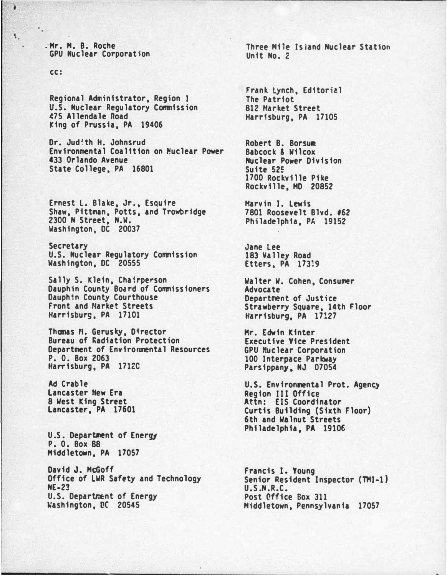.Mr. M. B. Roche GPU Nuclear Corporation

cc:

 $\mathbf{L}$ 

¥

Regional Administrator, Region I u.s. Nuclear Regulatory Commission (75 Allendale Road King of Prussia, PA 19406

Dr. Judith H. Johnsrud Environmental Coalition on Muclear Power 433 Orlando Avenue State College, PA 16801

Ernest L. Blake, Jr. , Esquire Shaw, Pittman, Potts, and Trowbridge 2300 N Street, N.W. Washington, DC 20037

Secretary U.S. Nuclear Regulatory Commission Washington, DC 20555

Sally S. Klein, Chairperson Dauphin County Board of Commissioners Dauphin County Courthouse Front and Market Streets Harrisburg, PA 17101

Thomas M. Gerusky, Director Bureau of �adiation Protection Department of Environmental Resources P. 0. Box 2063 Harrisburg, PA 171ZC

Ad Crable Lancaster Hew Era 8 West King Street Lancaster, PA 17601

U.S. Departnent of Energy P. 0. Box 88 Middletown, PA 17057

David J. McGoff Office of LWR Safety and Technology NE-2� U.S. Department of Energy �ashington, DC 20545

Three Mile Island Nuclear Station Unit No. 2

frank Lynch, Editoriel The Patriot 812 Harket Street Harrisburg, PA 17105

Robert B. Borsum Babcock & Wilcox **Nuclear Power Division** Suite 525 1700 Rockville Pike Rockville, MD 20852

Harvin I. Lewis 7801 Roosevelt Blvd. #62 Philadelphia, PA 19152

Jane Lee 183 Valley Road Etters, PA 173!9

Walter W. Cohen, Consumer Advocate Department of Justice Strawberry Square, 14th Floor Harrisburg, PA 17!27

Hr. Edwin Kinter Executive Vice President GPU Nuclear Corporation 100 Interpace Parkway Parsippany, NJ 07054

U.S. Environmental Prot. Agency Region III Office Attn: EJS Coordinator Curtis Building (Sixth Floor) 6th and Walnut Streets Philadelphia, PA 19106

Francis I. Young Senior Resident Inspector (THI-1) U. S.N. R.C. Post Qffice Sox 311 Middletown, Pennsylvania 17057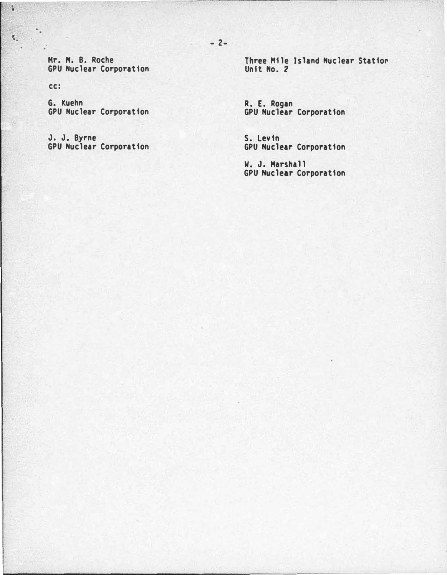Hr. H. B. Roche GPU Nuclear Corporation

cc:

**B** 

 $\mathbf{K}_1$  .  $\ddot{\phantom{1}}$ 

> G. Kuehn GPU Nuclear Corporation

J. J. Byrne GPU Nuclear Corporation Three Mile Island Nuclear Statior. Unit No. 2

R. E. Rogan GPU Nuclear Corporation

S. Levin GPU Nuclear Corporation

W. J. Marshall GPU Nuclear Corporation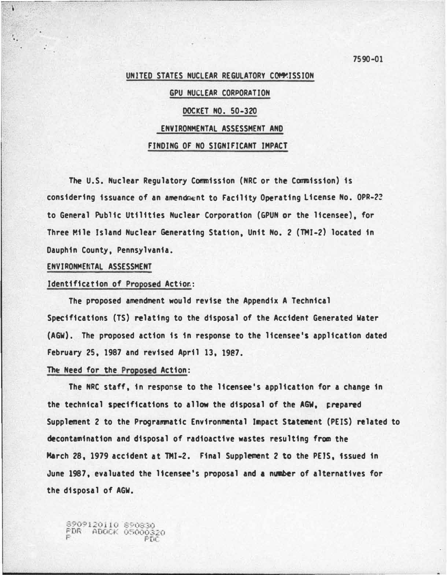## UNITED STATES NUCLEAR REGULATORY COMPISSION

# GPU NUCLEAR CORPORATION DOCkET NO. 50-320 ENVIRONMENTAL ASSESSMENT AND FINDING OF NO SIGNIFICANT IMPACT

The U.S. Nuclear Regulatory Commission (NRC or the Commission) is considering issuance of an amendment to Facility Operating license No. OPR-2Z to General Public Utilities Nuclear Corporation (GPUN or the licensee), for Three �ile Island Nuclear Generating Station, Unit No. 2 (TMI-2} located in Dauphin County, Pennsylvania.

#### ENVIRONMENTAL ASSESSMENT

• .

#### Identification of Proposed Action:

The proposed amendment would revise the Appendix A Technical Specifications (TS) relating to the disposal of the Accident Generated Water (AGW}. The proposed action is 1n response to the licensee's application dated February 25, 1987 and revised April 13, 1987.

#### The Need for the Proposed Action:

The NRC staff, in response to the licensee's application for a change in the technical specifications to allow the disposal of the AGW, �repared Supplement 2 to the Programmatic Environmental Impact Statement (PElS) related to decontamination and disposal of radioactive wastes resulting from the March 28, 1979 accident at TMI-2. Final Supplement 2 to the PEIS, issued in June 1987, evaluated the licensee's proposal and a number of alternatives for the disposal of AGW.

8909120110 890830<br>FDR ADOCK 05000320

7590·01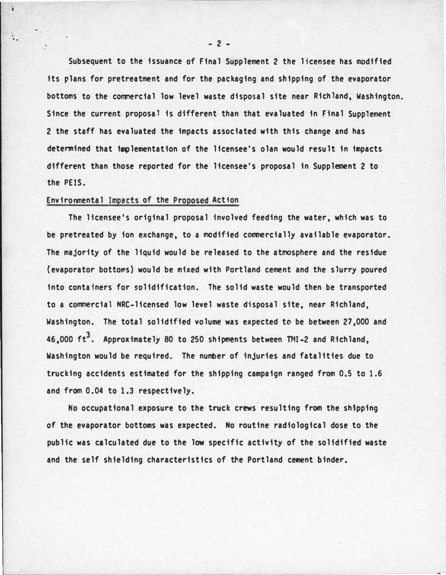Subsequent to the issuance of Final Supplement 2 the licensee has modified its plans for pretreatment and for the packaging and shipping of the evaporator bottoms to the commercial low level waste disposal site near Richland, Washington. Since the current proposal is different than that evaluated in Final Supplement 2 the staff has evaluated the impacts associated with this change and has determined that implementation of the licensee's olan would result in impacts different than those reported for the licensee's proposal in Supplement 2 to the PElS.

## Environmental Impacts of the Proposed Action

¥

The licensee's original proposal involved feeding the water, which was to be pretreated by ion exchange, to a modified commercially available evaporator. The majority of the liquid would be released to the atmosphere and the residue (evaporator bottoms) would be mixed with Portland cement and the slurry poured into containers for solidification. The solid waste would then be transported to a commercial NRC-licensed low level waste disposal site, near Richland, Washington. The total solidified volume was expected to be between 27,000 and 46,000 ft<sup>3</sup>. Approximately 80 to 250 shipments between TMI-2 and Richland, Washington would be required. The number of injuries and fatalities due to trucking accidents estimated for the shipping campaign ranged from 0.5 to 1.6 and from 0.04 to 1.3 respectively.

No occupational exposure to the truck crews resulting from the shipping of the evaporator bottoms was expected. No routine radiological dose to the public was calculated due to the low specific activity of the solidified waste and the self shielding characteristics of the Portland cement binder.

- 2 -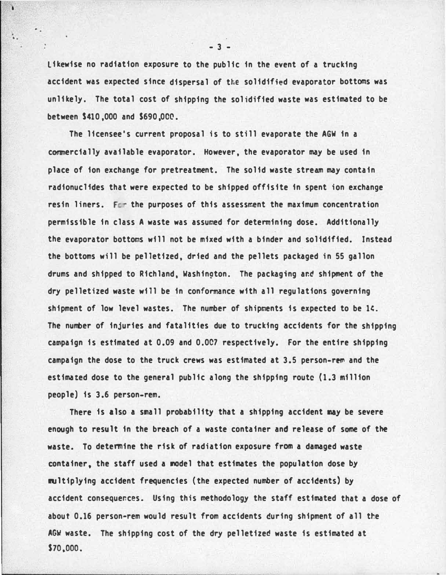Likewise no radiation exposure to the public in the event of a trucking accident was expected since dispersal of the solidified evaporator bottoms was unlikely. The total cost of shipping the solidified waste was estimated to be between \$410,000 and \$690,000.

The licensee's current proposal is to still evaporate the AGW in a commercially available evaporator. However, the evaporator may be used in place of ion exchange for pretreatment. The solid waste stream may contain radionuc11des that were expected to be shipped offisite in spent ion exchange resin liners. For the purposes of this assessment the maximum concentration permissible in class A waste was assumed for determining dose. Additionally the evaporator bottoms will not be mixed with a binder and soli�ified. Instead the bottoms will be pelletized, dried and the pellets packaged in 55 gallon drums and shipped to Richland, Washington. The packaging and shipment of the dry pelletized waste will be in conformance with all regulations governing shipment of low level wastes. The number of shipments is expected to be  $14$ . The number of injuries and fatalities due to trucking accidents for the shipping ca�paign is estimated at 0.09 and 0.007 respectively. For the entire shipping campaign the dose to the truck crews was estimated at 3.5 person-rem and the estimated dose to the general public along the shipping route (1.3 million people) is 3.6 person-rem.

There is also a small probability that a shipping accident may be severe enough to result in the breach of a waste container and release of some of the waste. To determine the risk of radiation exposure from a damaged waste container, the staff used a model that estimates the population dose by multiplying accident frequencies (the expected number of accidents) by accident consequences. Using this methodology the staff estimated that a dose of about 0.16 person·rem would result from accidents during shipment of all the AGW waste. The shipping cost of the dry pelletized waste is estimated at S7o.ooo.

- 3 -

. . .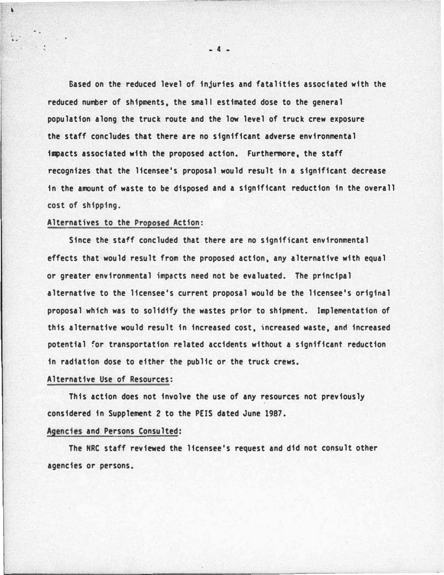Sased on the reduced level of injuries and fatalities associated with the reduced number of shipments, the small estimated dose to the general population along the truck route and the 'low level of truck crew exposure the staff concludes that there are no significant adverse environmental i�acts associated with the proposed action. Furthermore, the staff recognizes that the licensee's proposal would result in a significant decrease in the amount of waste to be disposed and a significant reduction in the overall cost of shipping.

## Alternatives to the Proposed Action:

'

..

Since the staff concluded that there are no significant environmental effects that would result from the proposed action, any alternative with equal or greater environmental impacts need not be evaluated. The principal alternative to the licensee's current proposal would be the licensee's original proposal which was to solidify the wastes prior to shipment. Implementation of this alternative would result in increased cost. )ncreased waste, and increased potential for transportation related accidents without a significant reduction in radiation dose to either the public or the truck crews.

## Alternative Use of Resources:

This action does not involve the use of any resources not previously considered in Supplement 2 to the PElS dated June 1987.

## Agencies and Persons Consulted:

The NRC staff reviewed the licensee's request and did not consult other agencies or persons.

- 4 -